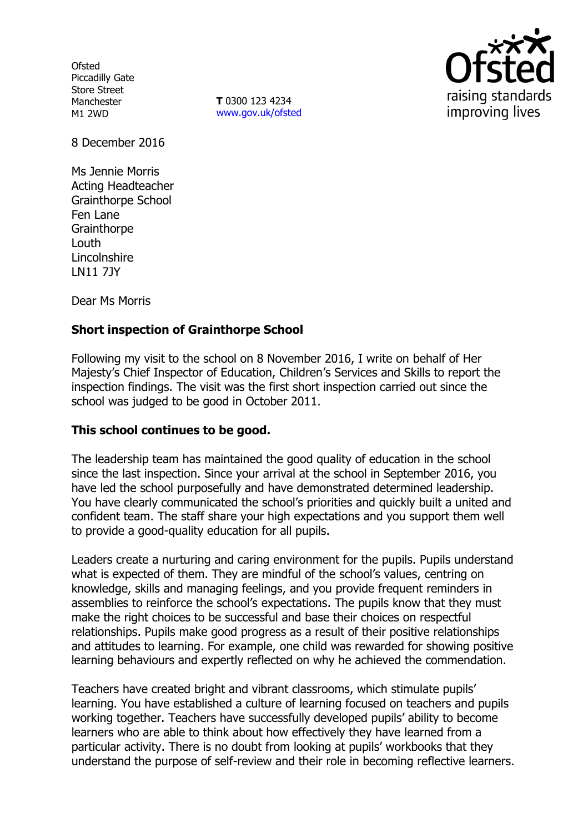**Ofsted** Piccadilly Gate Store Street Manchester M1 2WD

**T** 0300 123 4234 www.gov.uk/ofsted



8 December 2016

Ms Jennie Morris Acting Headteacher Grainthorpe School Fen Lane **Grainthorpe** Louth Lincolnshire LN11 7JY

Dear Ms Morris

# **Short inspection of Grainthorpe School**

Following my visit to the school on 8 November 2016, I write on behalf of Her Majesty's Chief Inspector of Education, Children's Services and Skills to report the inspection findings. The visit was the first short inspection carried out since the school was judged to be good in October 2011.

## **This school continues to be good.**

The leadership team has maintained the good quality of education in the school since the last inspection. Since your arrival at the school in September 2016, you have led the school purposefully and have demonstrated determined leadership. You have clearly communicated the school's priorities and quickly built a united and confident team. The staff share your high expectations and you support them well to provide a good-quality education for all pupils.

Leaders create a nurturing and caring environment for the pupils. Pupils understand what is expected of them. They are mindful of the school's values, centring on knowledge, skills and managing feelings, and you provide frequent reminders in assemblies to reinforce the school's expectations. The pupils know that they must make the right choices to be successful and base their choices on respectful relationships. Pupils make good progress as a result of their positive relationships and attitudes to learning. For example, one child was rewarded for showing positive learning behaviours and expertly reflected on why he achieved the commendation.

Teachers have created bright and vibrant classrooms, which stimulate pupils' learning. You have established a culture of learning focused on teachers and pupils working together. Teachers have successfully developed pupils' ability to become learners who are able to think about how effectively they have learned from a particular activity. There is no doubt from looking at pupils' workbooks that they understand the purpose of self-review and their role in becoming reflective learners.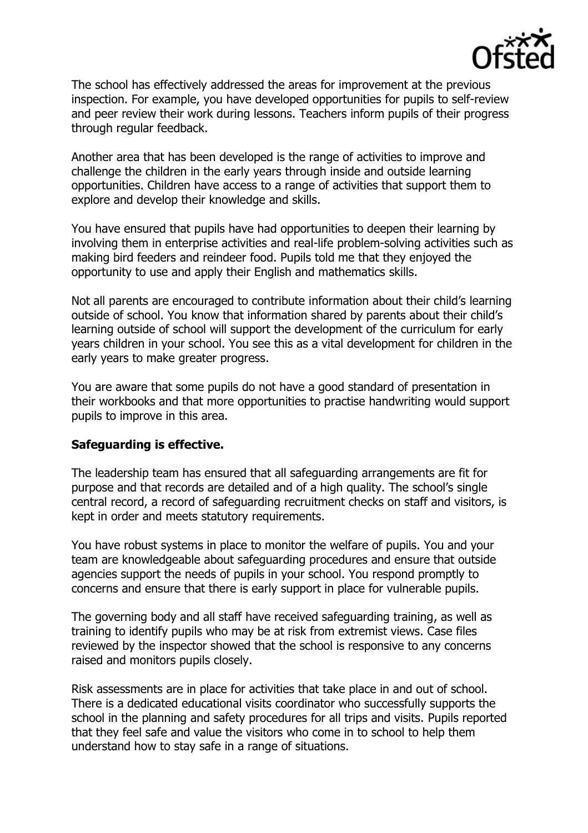

The school has effectively addressed the areas for improvement at the previous inspection. For example, you have developed opportunities for pupils to self-review and peer review their work during lessons. Teachers inform pupils of their progress through regular feedback.

Another area that has been developed is the range of activities to improve and challenge the children in the early years through inside and outside learning opportunities. Children have access to a range of activities that support them to explore and develop their knowledge and skills.

You have ensured that pupils have had opportunities to deepen their learning by involving them in enterprise activities and real-life problem-solving activities such as making bird feeders and reindeer food. Pupils told me that they enjoyed the opportunity to use and apply their English and mathematics skills.

Not all parents are encouraged to contribute information about their child's learning outside of school. You know that information shared by parents about their child's learning outside of school will support the development of the curriculum for early years children in your school. You see this as a vital development for children in the early years to make greater progress.

You are aware that some pupils do not have a good standard of presentation in their workbooks and that more opportunities to practise handwriting would support pupils to improve in this area.

### **Safeguarding is effective.**

The leadership team has ensured that all safeguarding arrangements are fit for purpose and that records are detailed and of a high quality. The school's single central record, a record of safeguarding recruitment checks on staff and visitors, is kept in order and meets statutory requirements.

You have robust systems in place to monitor the welfare of pupils. You and your team are knowledgeable about safeguarding procedures and ensure that outside agencies support the needs of pupils in your school. You respond promptly to concerns and ensure that there is early support in place for vulnerable pupils.

The governing body and all staff have received safeguarding training, as well as training to identify pupils who may be at risk from extremist views. Case files reviewed by the inspector showed that the school is responsive to any concerns raised and monitors pupils closely.

Risk assessments are in place for activities that take place in and out of school. There is a dedicated educational visits coordinator who successfully supports the school in the planning and safety procedures for all trips and visits. Pupils reported that they feel safe and value the visitors who come in to school to help them understand how to stay safe in a range of situations.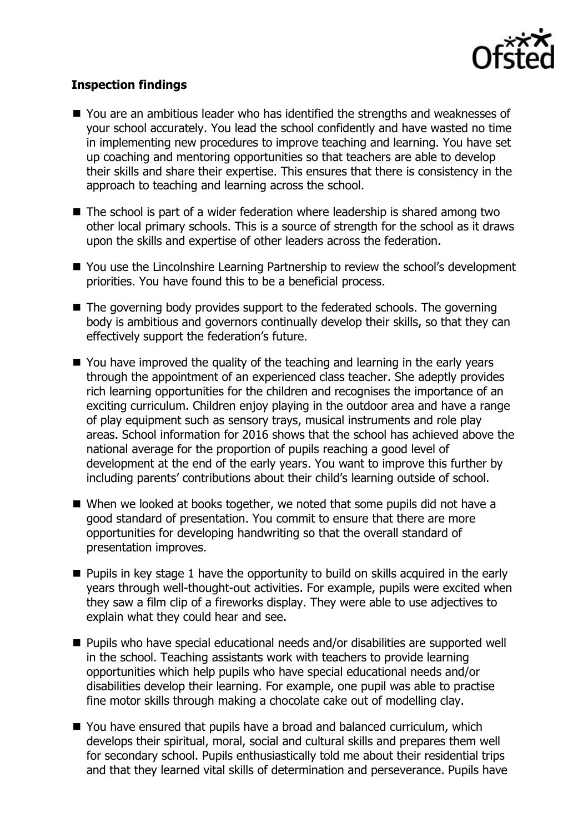

## **Inspection findings**

- You are an ambitious leader who has identified the strengths and weaknesses of your school accurately. You lead the school confidently and have wasted no time in implementing new procedures to improve teaching and learning. You have set up coaching and mentoring opportunities so that teachers are able to develop their skills and share their expertise. This ensures that there is consistency in the approach to teaching and learning across the school.
- The school is part of a wider federation where leadership is shared among two other local primary schools. This is a source of strength for the school as it draws upon the skills and expertise of other leaders across the federation.
- You use the Lincolnshire Learning Partnership to review the school's development priorities. You have found this to be a beneficial process.
- The governing body provides support to the federated schools. The governing body is ambitious and governors continually develop their skills, so that they can effectively support the federation's future.
- You have improved the quality of the teaching and learning in the early years through the appointment of an experienced class teacher. She adeptly provides rich learning opportunities for the children and recognises the importance of an exciting curriculum. Children enjoy playing in the outdoor area and have a range of play equipment such as sensory trays, musical instruments and role play areas. School information for 2016 shows that the school has achieved above the national average for the proportion of pupils reaching a good level of development at the end of the early years. You want to improve this further by including parents' contributions about their child's learning outside of school.
- When we looked at books together, we noted that some pupils did not have a good standard of presentation. You commit to ensure that there are more opportunities for developing handwriting so that the overall standard of presentation improves.
- $\blacksquare$  Pupils in key stage 1 have the opportunity to build on skills acquired in the early years through well-thought-out activities. For example, pupils were excited when they saw a film clip of a fireworks display. They were able to use adjectives to explain what they could hear and see.
- Pupils who have special educational needs and/or disabilities are supported well in the school. Teaching assistants work with teachers to provide learning opportunities which help pupils who have special educational needs and/or disabilities develop their learning. For example, one pupil was able to practise fine motor skills through making a chocolate cake out of modelling clay.
- You have ensured that pupils have a broad and balanced curriculum, which develops their spiritual, moral, social and cultural skills and prepares them well for secondary school. Pupils enthusiastically told me about their residential trips and that they learned vital skills of determination and perseverance. Pupils have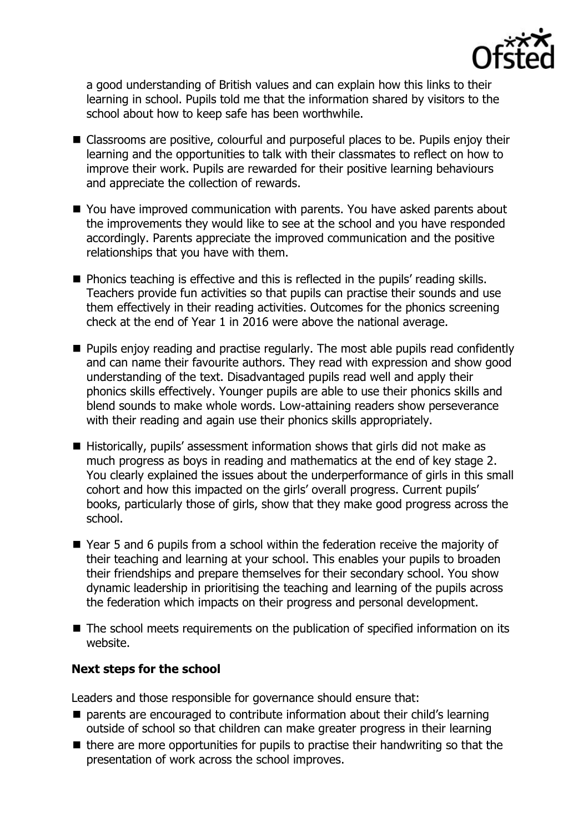

a good understanding of British values and can explain how this links to their learning in school. Pupils told me that the information shared by visitors to the school about how to keep safe has been worthwhile.

- Classrooms are positive, colourful and purposeful places to be. Pupils enjoy their learning and the opportunities to talk with their classmates to reflect on how to improve their work. Pupils are rewarded for their positive learning behaviours and appreciate the collection of rewards.
- You have improved communication with parents. You have asked parents about the improvements they would like to see at the school and you have responded accordingly. Parents appreciate the improved communication and the positive relationships that you have with them.
- Phonics teaching is effective and this is reflected in the pupils' reading skills. Teachers provide fun activities so that pupils can practise their sounds and use them effectively in their reading activities. Outcomes for the phonics screening check at the end of Year 1 in 2016 were above the national average.
- **Pupils enjoy reading and practise regularly. The most able pupils read confidently** and can name their favourite authors. They read with expression and show good understanding of the text. Disadvantaged pupils read well and apply their phonics skills effectively. Younger pupils are able to use their phonics skills and blend sounds to make whole words. Low-attaining readers show perseverance with their reading and again use their phonics skills appropriately.
- $\blacksquare$  Historically, pupils' assessment information shows that girls did not make as much progress as boys in reading and mathematics at the end of key stage 2. You clearly explained the issues about the underperformance of girls in this small cohort and how this impacted on the girls' overall progress. Current pupils' books, particularly those of girls, show that they make good progress across the school.
- Year 5 and 6 pupils from a school within the federation receive the majority of their teaching and learning at your school. This enables your pupils to broaden their friendships and prepare themselves for their secondary school. You show dynamic leadership in prioritising the teaching and learning of the pupils across the federation which impacts on their progress and personal development.
- The school meets requirements on the publication of specified information on its website.

### **Next steps for the school**

Leaders and those responsible for governance should ensure that:

- parents are encouraged to contribute information about their child's learning outside of school so that children can make greater progress in their learning
- $\blacksquare$  there are more opportunities for pupils to practise their handwriting so that the presentation of work across the school improves.